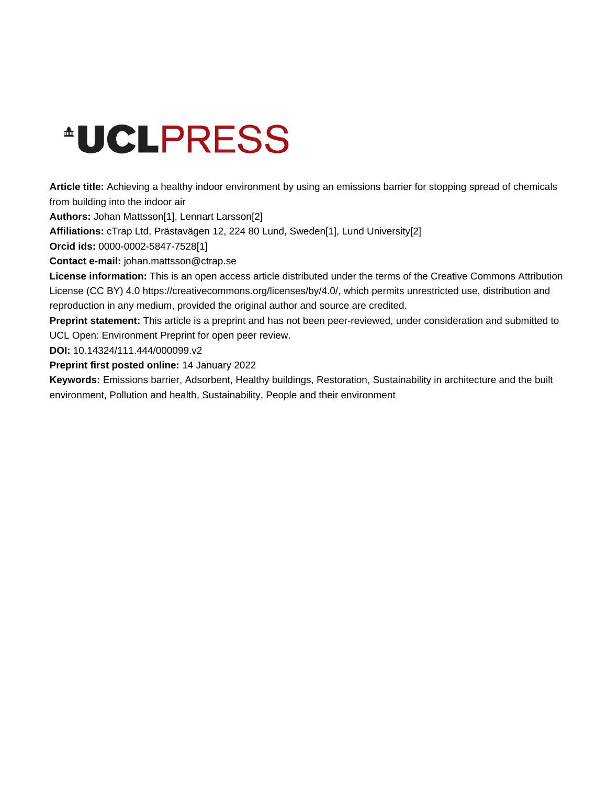# **\*UCLPRESS**

**Article title:** Achieving a healthy indoor environment by using an emissions barrier for stopping spread of chemicals from building into the indoor air

**Authors:** Johan Mattsson[1], Lennart Larsson[2]

**Affiliations:** cTrap Ltd, Prästavägen 12, 224 80 Lund, Sweden[1], Lund University[2]

**Orcid ids:** 0000-0002-5847-7528[1]

**Contact e-mail:** johan.mattsson@ctrap.se

**License information:** This is an open access article distributed under the terms of the Creative Commons Attribution License (CC BY) 4.0 https://creativecommons.org/licenses/by/4.0/, which permits unrestricted use, distribution and reproduction in any medium, provided the original author and source are credited.

**Preprint statement:** This article is a preprint and has not been peer-reviewed, under consideration and submitted to UCL Open: Environment Preprint for open peer review.

**DOI:** 10.14324/111.444/000099.v2

**Preprint first posted online:** 14 January 2022

**Keywords:** Emissions barrier, Adsorbent, Healthy buildings, Restoration, Sustainability in architecture and the built environment, Pollution and health, Sustainability, People and their environment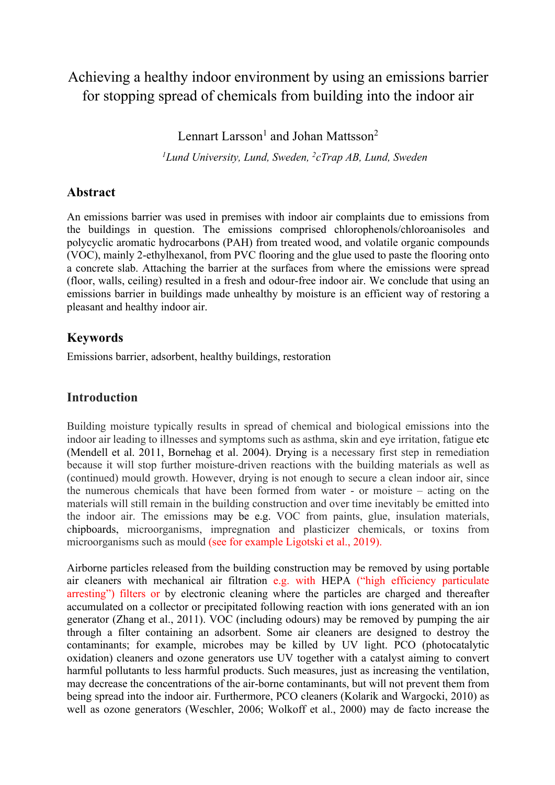# Achieving a healthy indoor environment by using an emissions barrier for stopping spread of chemicals from building into the indoor air

Lennart Larsson<sup>1</sup> and Johan Mattsson<sup>2</sup>

*1 Lund University, Lund, Sweden, 2 cTrap AB, Lund, Sweden*

#### **Abstract**

An emissions barrier was used in premises with indoor air complaints due to emissions from the buildings in question. The emissions comprised chlorophenols/chloroanisoles and polycyclic aromatic hydrocarbons (PAH) from treated wood, and volatile organic compounds (VOC), mainly 2-ethylhexanol, from PVC flooring and the glue used to paste the flooring onto a concrete slab. Attaching the barrier at the surfaces from where the emissions were spread (floor, walls, ceiling) resulted in a fresh and odour-free indoor air. We conclude that using an emissions barrier in buildings made unhealthy by moisture is an efficient way of restoring a pleasant and healthy indoor air.

#### **Keywords**

Emissions barrier, adsorbent, healthy buildings, restoration

#### **Introduction**

Building moisture typically results in spread of chemical and biological emissions into the indoor air leading to illnesses and symptoms such as asthma, skin and eye irritation, fatigue etc (Mendell et al. 2011, Bornehag et al. 2004). Drying is a necessary first step in remediation because it will stop further moisture-driven reactions with the building materials as well as (continued) mould growth. However, drying is not enough to secure a clean indoor air, since the numerous chemicals that have been formed from water - or moisture – acting on the materials will still remain in the building construction and over time inevitably be emitted into the indoor air. The emissions may be e.g. VOC from paints, glue, insulation materials, chipboards, microorganisms, impregnation and plasticizer chemicals, or toxins from microorganisms such as mould (see for example Ligotski et al., 2019).

Airborne particles released from the building construction may be removed by using portable air cleaners with mechanical air filtration e.g. with HEPA ("high efficiency particulate arresting") filters or by electronic cleaning where the particles are charged and thereafter accumulated on a collector or precipitated following reaction with ions generated with an ion generator (Zhang et al., 2011). VOC (including odours) may be removed by pumping the air through a filter containing an adsorbent. Some air cleaners are designed to destroy the contaminants; for example, microbes may be killed by UV light. PCO (photocatalytic oxidation) cleaners and ozone generators use UV together with a catalyst aiming to convert harmful pollutants to less harmful products. Such measures, just as increasing the ventilation, may decrease the concentrations of the air-borne contaminants, but will not prevent them from being spread into the indoor air. Furthermore, PCO cleaners (Kolarik and Wargocki, 2010) as well as ozone generators (Weschler, 2006; Wolkoff et al., 2000) may de facto increase the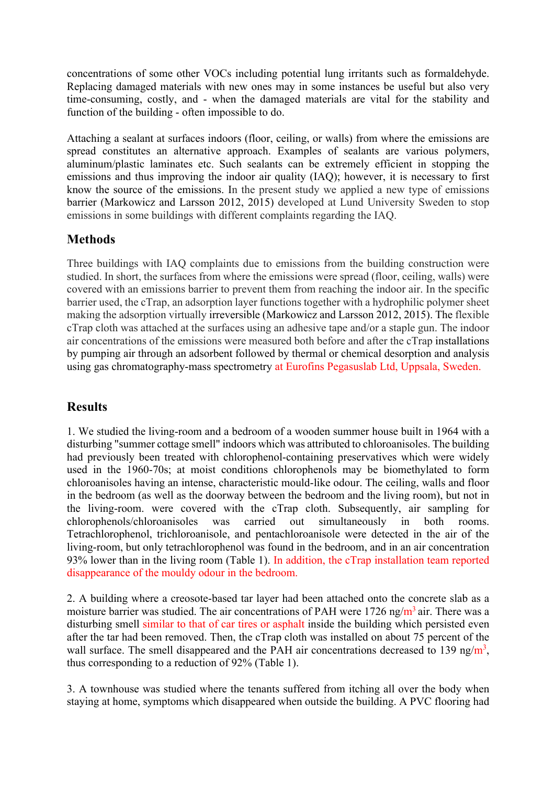concentrations of some other VOCs including potential lung irritants such as formaldehyde. Replacing damaged materials with new ones may in some instances be useful but also very time-consuming, costly, and - when the damaged materials are vital for the stability and function of the building - often impossible to do.

Attaching a sealant at surfaces indoors (floor, ceiling, or walls) from where the emissions are spread constitutes an alternative approach. Examples of sealants are various polymers, aluminum/plastic laminates etc. Such sealants can be extremely efficient in stopping the emissions and thus improving the indoor air quality (IAQ); however, it is necessary to first know the source of the emissions. In the present study we applied a new type of emissions barrier (Markowicz and Larsson 2012, 2015) developed at Lund University Sweden to stop emissions in some buildings with different complaints regarding the IAQ.

### **Methods**

Three buildings with IAQ complaints due to emissions from the building construction were studied. In short, the surfaces from where the emissions were spread (floor, ceiling, walls) were covered with an emissions barrier to prevent them from reaching the indoor air. In the specific barrier used, the cTrap, an adsorption layer functions together with a hydrophilic polymer sheet making the adsorption virtually irreversible (Markowicz and Larsson 2012, 2015). The flexible cTrap cloth was attached at the surfaces using an adhesive tape and/or a staple gun. The indoor air concentrations of the emissions were measured both before and after the cTrap installations by pumping air through an adsorbent followed by thermal or chemical desorption and analysis using gas chromatography-mass spectrometry at Eurofins Pegasuslab Ltd, Uppsala, Sweden.

## **Results**

1. We studied the living-room and a bedroom of a wooden summer house built in 1964 with a disturbing "summer cottage smell" indoors which was attributed to chloroanisoles. The building had previously been treated with chlorophenol-containing preservatives which were widely used in the 1960-70s; at moist conditions chlorophenols may be biomethylated to form chloroanisoles having an intense, characteristic mould-like odour. The ceiling, walls and floor in the bedroom (as well as the doorway between the bedroom and the living room), but not in the living-room. were covered with the cTrap cloth. Subsequently, air sampling for chlorophenols/chloroanisoles was carried out simultaneously in both rooms. Tetrachlorophenol, trichloroanisole, and pentachloroanisole were detected in the air of the living-room, but only tetrachlorophenol was found in the bedroom, and in an air concentration 93% lower than in the living room (Table 1). In addition, the cTrap installation team reported disappearance of the mouldy odour in the bedroom.

2. A building where a creosote-based tar layer had been attached onto the concrete slab as a moisture barrier was studied. The air concentrations of PAH were 1726 ng/ $m<sup>3</sup>$  air. There was a disturbing smell similar to that of car tires or asphalt inside the building which persisted even after the tar had been removed. Then, the cTrap cloth was installed on about 75 percent of the wall surface. The smell disappeared and the PAH air concentrations decreased to 139 ng/ $m<sup>3</sup>$ , thus corresponding to a reduction of 92% (Table 1).

3. A townhouse was studied where the tenants suffered from itching all over the body when staying at home, symptoms which disappeared when outside the building. A PVC flooring had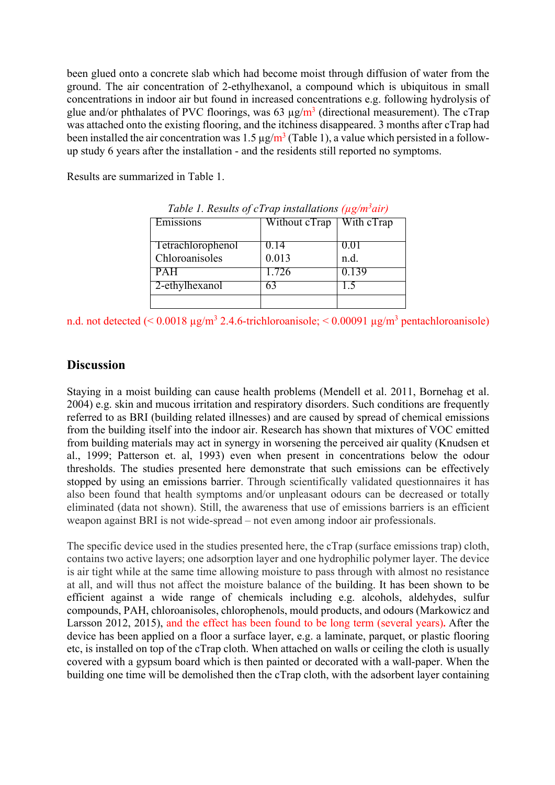been glued onto a concrete slab which had become moist through diffusion of water from the ground. The air concentration of 2-ethylhexanol, a compound which is ubiquitous in small concentrations in indoor air but found in increased concentrations e.g. following hydrolysis of glue and/or phthalates of PVC floorings, was 63  $\mu$ g/m<sup>3</sup> (directional measurement). The cTrap was attached onto the existing flooring, and the itchiness disappeared. 3 months after cTrap had been installed the air concentration was 1.5  $\mu$ g/m<sup>3</sup> (Table 1), a value which persisted in a followup study 6 years after the installation - and the residents still reported no symptoms.

Results are summarized in Table 1.

| Emissions         | Without cTrap | With cTrap |
|-------------------|---------------|------------|
|                   |               |            |
| Tetrachlorophenol | 0.14          |            |
| Chloroanisoles    | 0.013         | n.d.       |
| PAH               | 1.726         | 0.139      |
| 2-ethylhexanol    |               |            |
|                   |               |            |

*Table 1. Results of cTrap installations (µg/m3 air)*

n.d. not detected  $(< 0.0018 \text{ µg/m}^3 \text{ } 2.4.6$ -trichloroanisole;  $< 0.00091 \text{ µg/m}^3$  pentachloroanisole)

#### **Discussion**

Staying in a moist building can cause health problems (Mendell et al. 2011, Bornehag et al. 2004) e.g. skin and mucous irritation and respiratory disorders. Such conditions are frequently referred to as BRI (building related illnesses) and are caused by spread of chemical emissions from the building itself into the indoor air. Research has shown that mixtures of VOC emitted from building materials may act in synergy in worsening the perceived air quality (Knudsen et al., 1999; Patterson et. al, 1993) even when present in concentrations below the odour thresholds. The studies presented here demonstrate that such emissions can be effectively stopped by using an emissions barrier. Through scientifically validated questionnaires it has also been found that health symptoms and/or unpleasant odours can be decreased or totally eliminated (data not shown). Still, the awareness that use of emissions barriers is an efficient weapon against BRI is not wide-spread – not even among indoor air professionals.

The specific device used in the studies presented here, the cTrap (surface emissions trap) cloth, contains two active layers; one adsorption layer and one hydrophilic polymer layer. The device is air tight while at the same time allowing moisture to pass through with almost no resistance at all, and will thus not affect the moisture balance of the building. It has been shown to be efficient against a wide range of chemicals including e.g. alcohols, aldehydes, sulfur compounds, PAH, chloroanisoles, chlorophenols, mould products, and odours (Markowicz and Larsson 2012, 2015), and the effect has been found to be long term (several years)**.** After the device has been applied on a floor a surface layer, e.g. a laminate, parquet, or plastic flooring etc, is installed on top of the cTrap cloth. When attached on walls or ceiling the cloth is usually covered with a gypsum board which is then painted or decorated with a wall-paper. When the building one time will be demolished then the cTrap cloth, with the adsorbent layer containing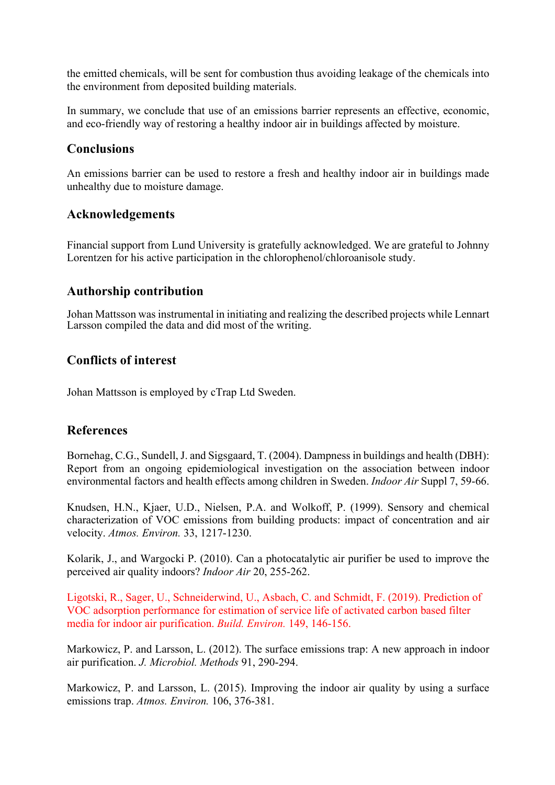the emitted chemicals, will be sent for combustion thus avoiding leakage of the chemicals into the environment from deposited building materials.

In summary, we conclude that use of an emissions barrier represents an effective, economic, and eco-friendly way of restoring a healthy indoor air in buildings affected by moisture.

#### **Conclusions**

An emissions barrier can be used to restore a fresh and healthy indoor air in buildings made unhealthy due to moisture damage.

#### **Acknowledgements**

Financial support from Lund University is gratefully acknowledged. We are grateful to Johnny Lorentzen for his active participation in the chlorophenol/chloroanisole study.

#### **Authorship contribution**

Johan Mattsson was instrumental in initiating and realizing the described projects while Lennart Larsson compiled the data and did most of the writing.

#### **Conflicts of interest**

Johan Mattsson is employed by cTrap Ltd Sweden.

#### **References**

Bornehag, C.G., Sundell, J. and Sigsgaard, T. (2004). Dampness in buildings and health (DBH): Report from an ongoing epidemiological investigation on the association between indoor environmental factors and health effects among children in Sweden. *Indoor Air* Suppl 7, 59-66.

Knudsen, H.N., Kjaer, U.D., Nielsen, P.A. and Wolkoff, P. (1999). Sensory and chemical characterization of VOC emissions from building products: impact of concentration and air velocity. *Atmos. Environ.* 33, 1217-1230.

Kolarik, J., and Wargocki P. (2010). Can a photocatalytic air purifier be used to improve the perceived air quality indoors? *Indoor Air* 20, 255-262.

Ligotski, R., Sager, U., Schneiderwind, U., Asbach, C. and Schmidt, F. (2019). Prediction of VOC adsorption performance for estimation of service life of activated carbon based filter media for indoor air purification. *Build. Environ.* 149, 146-156.

Markowicz, P. and Larsson, L. (2012). The surface emissions trap: A new approach in indoor air purification. *J. Microbiol. Methods* 91, 290-294.

Markowicz, P. and Larsson, L. (2015). Improving the indoor air quality by using a surface emissions trap. *Atmos. Environ.* 106, 376-381.